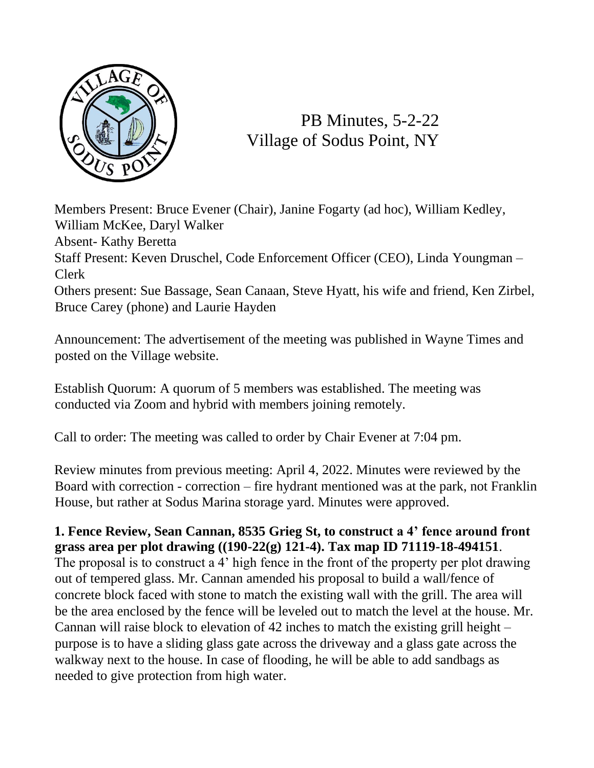

PB Minutes, 5-2-22 Village of Sodus Point, NY

Members Present: Bruce Evener (Chair), Janine Fogarty (ad hoc), William Kedley, William McKee, Daryl Walker Absent- Kathy Beretta Staff Present: Keven Druschel, Code Enforcement Officer (CEO), Linda Youngman – Clerk Others present: Sue Bassage, Sean Canaan, Steve Hyatt, his wife and friend, Ken Zirbel, Bruce Carey (phone) and Laurie Hayden

Announcement: The advertisement of the meeting was published in Wayne Times and posted on the Village website.

Establish Quorum: A quorum of 5 members was established. The meeting was conducted via Zoom and hybrid with members joining remotely.

Call to order: The meeting was called to order by Chair Evener at 7:04 pm.

Review minutes from previous meeting: April 4, 2022. Minutes were reviewed by the Board with correction - correction – fire hydrant mentioned was at the park, not Franklin House, but rather at Sodus Marina storage yard. Minutes were approved.

## **1. Fence Review, Sean Cannan, 8535 Grieg St, to construct a 4' fence around front grass area per plot drawing ((190-22(g) 121-4). Tax map ID 71119-18-494151**.

The proposal is to construct a 4' high fence in the front of the property per plot drawing out of tempered glass. Mr. Cannan amended his proposal to build a wall/fence of concrete block faced with stone to match the existing wall with the grill. The area will be the area enclosed by the fence will be leveled out to match the level at the house. Mr. Cannan will raise block to elevation of 42 inches to match the existing grill height – purpose is to have a sliding glass gate across the driveway and a glass gate across the walkway next to the house. In case of flooding, he will be able to add sandbags as needed to give protection from high water.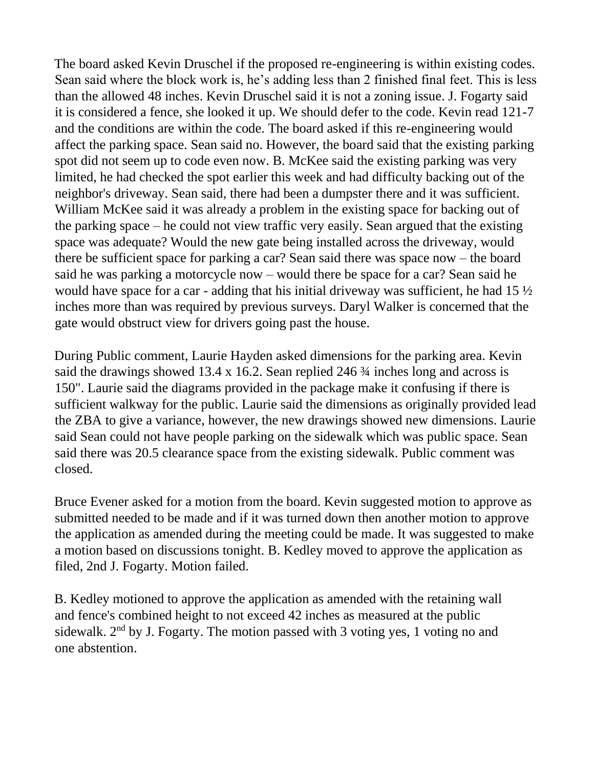The board asked Kevin Druschel if the proposed re-engineering is within existing codes. Sean said where the block work is, he's adding less than 2 finished final feet. This is less than the allowed 48 inches. Kevin Druschel said it is not a zoning issue. J. Fogarty said it is considered a fence, she looked it up. We should defer to the code. Kevin read 121-7 and the conditions are within the code. The board asked if this re-engineering would affect the parking space. Sean said no. However, the board said that the existing parking spot did not seem up to code even now. B. McKee said the existing parking was very limited, he had checked the spot earlier this week and had difficulty backing out of the neighbor's driveway. Sean said, there had been a dumpster there and it was sufficient. William McKee said it was already a problem in the existing space for backing out of the parking space – he could not view traffic very easily. Sean argued that the existing space was adequate? Would the new gate being installed across the driveway, would there be sufficient space for parking a car? Sean said there was space now – the board said he was parking a motorcycle now – would there be space for a car? Sean said he would have space for a car - adding that his initial driveway was sufficient, he had  $15\frac{1}{2}$ inches more than was required by previous surveys. Daryl Walker is concerned that the gate would obstruct view for drivers going past the house.

During Public comment, Laurie Hayden asked dimensions for the parking area. Kevin said the drawings showed 13.4 x 16.2. Sean replied 246  $\frac{3}{4}$  inches long and across is 150". Laurie said the diagrams provided in the package make it confusing if there is sufficient walkway for the public. Laurie said the dimensions as originally provided lead the ZBA to give a variance, however, the new drawings showed new dimensions. Laurie said Sean could not have people parking on the sidewalk which was public space. Sean said there was 20.5 clearance space from the existing sidewalk. Public comment was closed.

Bruce Evener asked for a motion from the board. Kevin suggested motion to approve as submitted needed to be made and if it was turned down then another motion to approve the application as amended during the meeting could be made. It was suggested to make a motion based on discussions tonight. B. Kedley moved to approve the application as filed, 2nd J. Fogarty. Motion failed.

B. Kedley motioned to approve the application as amended with the retaining wall and fence's combined height to not exceed 42 inches as measured at the public sidewalk.  $2<sup>nd</sup>$  by J. Fogarty. The motion passed with 3 voting yes, 1 voting no and one abstention.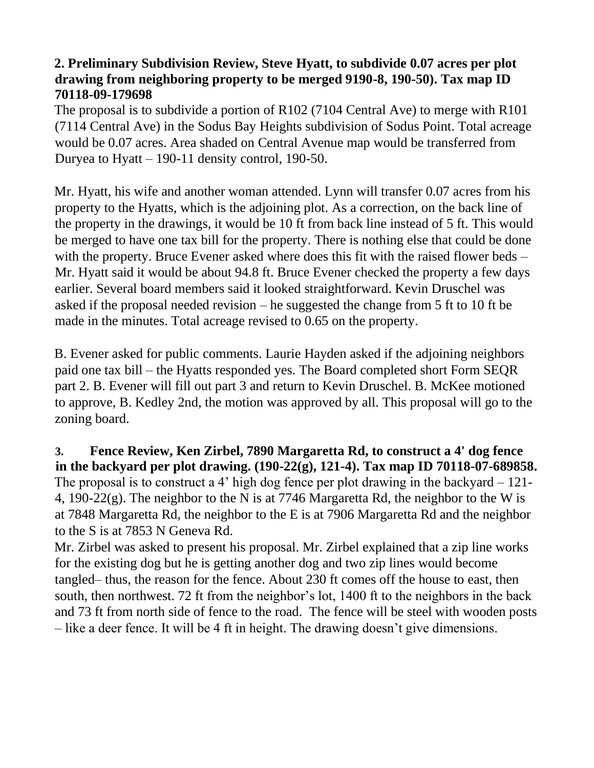## **2. Preliminary Subdivision Review, Steve Hyatt, to subdivide 0.07 acres per plot drawing from neighboring property to be merged 9190-8, 190-50). Tax map ID 70118-09-179698**

The proposal is to subdivide a portion of R102 (7104 Central Ave) to merge with R101 (7114 Central Ave) in the Sodus Bay Heights subdivision of Sodus Point. Total acreage would be 0.07 acres. Area shaded on Central Avenue map would be transferred from Duryea to Hyatt  $-190-11$  density control, 190-50.

Mr. Hyatt, his wife and another woman attended. Lynn will transfer 0.07 acres from his property to the Hyatts, which is the adjoining plot. As a correction, on the back line of the property in the drawings, it would be 10 ft from back line instead of 5 ft. This would be merged to have one tax bill for the property. There is nothing else that could be done with the property. Bruce Evener asked where does this fit with the raised flower beds – Mr. Hyatt said it would be about 94.8 ft. Bruce Evener checked the property a few days earlier. Several board members said it looked straightforward. Kevin Druschel was asked if the proposal needed revision – he suggested the change from 5 ft to 10 ft be made in the minutes. Total acreage revised to 0.65 on the property.

B. Evener asked for public comments. Laurie Hayden asked if the adjoining neighbors paid one tax bill – the Hyatts responded yes. The Board completed short Form SEQR part 2. B. Evener will fill out part 3 and return to Kevin Druschel. B. McKee motioned to approve, B. Kedley 2nd, the motion was approved by all. This proposal will go to the zoning board.

**3. Fence Review, Ken Zirbel, 7890 Margaretta Rd, to construct a 4' dog fence in the backyard per plot drawing. (190-22(g), 121-4). Tax map ID 70118-07-689858.** The proposal is to construct a 4' high dog fence per plot drawing in the backyard – 121- 4, 190-22(g). The neighbor to the N is at 7746 Margaretta Rd, the neighbor to the W is at 7848 Margaretta Rd, the neighbor to the E is at 7906 Margaretta Rd and the neighbor to the S is at 7853 N Geneva Rd.

Mr. Zirbel was asked to present his proposal. Mr. Zirbel explained that a zip line works for the existing dog but he is getting another dog and two zip lines would become tangled– thus, the reason for the fence. About 230 ft comes off the house to east, then south, then northwest. 72 ft from the neighbor's lot, 1400 ft to the neighbors in the back and 73 ft from north side of fence to the road. The fence will be steel with wooden posts – like a deer fence. It will be 4 ft in height. The drawing doesn't give dimensions.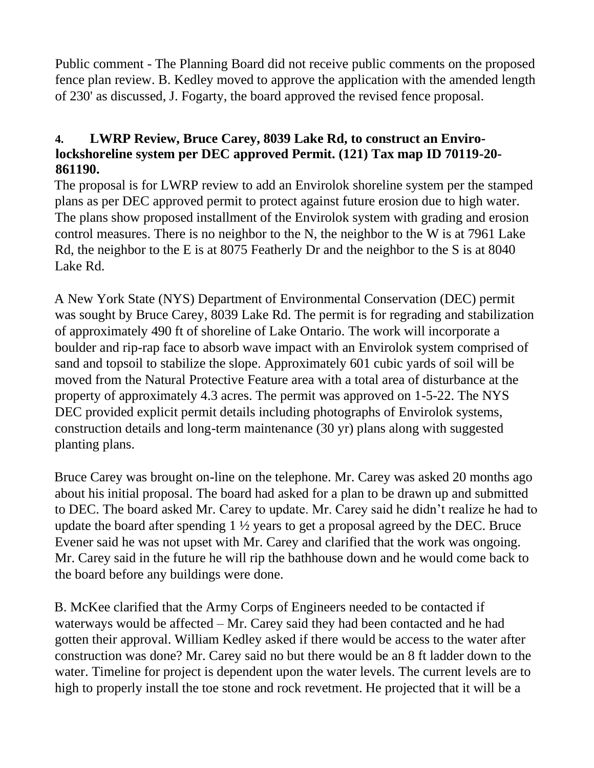Public comment - The Planning Board did not receive public comments on the proposed fence plan review. B. Kedley moved to approve the application with the amended length of 230' as discussed, J. Fogarty, the board approved the revised fence proposal.

## **4. LWRP Review, Bruce Carey, 8039 Lake Rd, to construct an Envirolockshoreline system per DEC approved Permit. (121) Tax map ID 70119-20- 861190.**

The proposal is for LWRP review to add an Envirolok shoreline system per the stamped plans as per DEC approved permit to protect against future erosion due to high water. The plans show proposed installment of the Envirolok system with grading and erosion control measures. There is no neighbor to the N, the neighbor to the W is at 7961 Lake Rd, the neighbor to the E is at 8075 Featherly Dr and the neighbor to the S is at 8040 Lake Rd.

A New York State (NYS) Department of Environmental Conservation (DEC) permit was sought by Bruce Carey, 8039 Lake Rd. The permit is for regrading and stabilization of approximately 490 ft of shoreline of Lake Ontario. The work will incorporate a boulder and rip-rap face to absorb wave impact with an Envirolok system comprised of sand and topsoil to stabilize the slope. Approximately 601 cubic yards of soil will be moved from the Natural Protective Feature area with a total area of disturbance at the property of approximately 4.3 acres. The permit was approved on 1-5-22. The NYS DEC provided explicit permit details including photographs of Envirolok systems, construction details and long-term maintenance (30 yr) plans along with suggested planting plans.

Bruce Carey was brought on-line on the telephone. Mr. Carey was asked 20 months ago about his initial proposal. The board had asked for a plan to be drawn up and submitted to DEC. The board asked Mr. Carey to update. Mr. Carey said he didn't realize he had to update the board after spending  $1\frac{1}{2}$  years to get a proposal agreed by the DEC. Bruce Evener said he was not upset with Mr. Carey and clarified that the work was ongoing. Mr. Carey said in the future he will rip the bathhouse down and he would come back to the board before any buildings were done.

B. McKee clarified that the Army Corps of Engineers needed to be contacted if waterways would be affected – Mr. Carey said they had been contacted and he had gotten their approval. William Kedley asked if there would be access to the water after construction was done? Mr. Carey said no but there would be an 8 ft ladder down to the water. Timeline for project is dependent upon the water levels. The current levels are to high to properly install the toe stone and rock revetment. He projected that it will be a